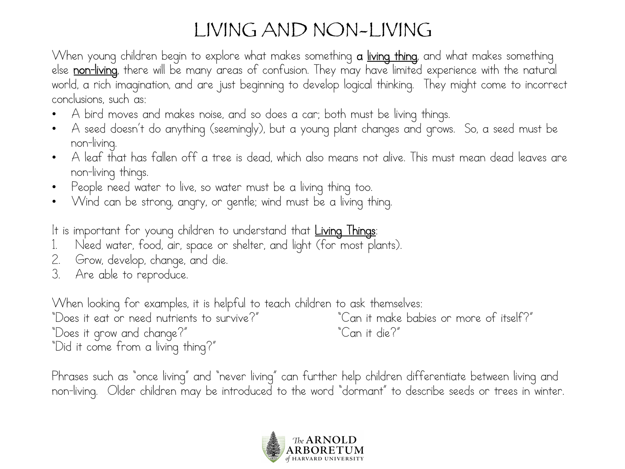## LIVING AND NON-LIVING

When young children begin to explore what makes something **a <u>living thing</u>**, and what makes something else non-living, there will be many areas of confusion. They may have limited experience with the natural world, a rich imagination, and are just beginning to develop logical thinking. They might come to incorrect conclusions, such as:

- A bird moves and makes noise, and so does a car; both must be living things.
- A seed doesn't do anything (seemingly), but a young plant changes and grows. So, a seed must be non-living.
- A leaf that has fallen off a tree is dead, which also means not alive. This must mean dead leaves are non-living things.
- People need water to live, so water must be a living thing too.
- Wind can be strong, angry, or gentle; wind must be a living thing.

It is important for young children to understand that Living Things:

- Need water, food, air, space or shelter, and light (for most plants).
- 2. Grow, develop, change, and die.
- 3. Are able to reproduce.

When looking for examples, it is helpful to teach children to ask themselves:

"Does it eat or need nutrients to survive?" "Can it make babies or more of itself?" "Does it grow and change?" "Can it die?" "Did it come from a living thing?"

Phrases such as "once living" and "never living" can further help children differentiate between living and non-living. Older children may be introduced to the word "dormant" to describe seeds or trees in winter.

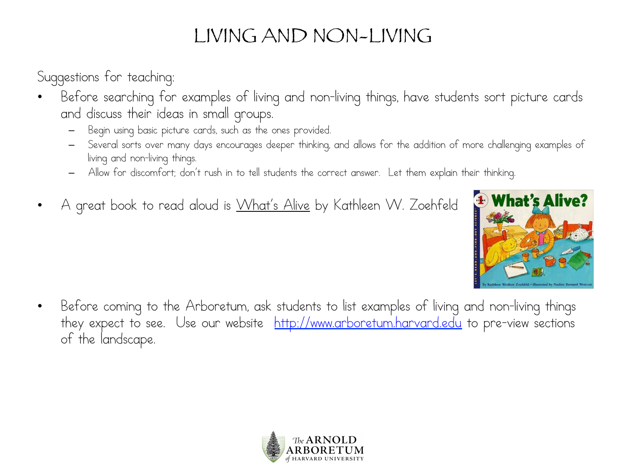## LIVING AND NON-LIVING

Suggestions for teaching:

- Before searching for examples of living and non-living things, have students sort picture cards and discuss their ideas in small groups.
	- Begin using basic picture cards, such as the ones provided.
	- Several sorts over many days encourages deeper thinking, and allows for the addition of more challenging examples of living and non-living things.
	- Allow for discomfort; don't rush in to tell students the correct answer. Let them explain their thinking.
- A great book to read aloud is What's Alive by Kathleen W. Zoehfeld



• Before coming to the Arboretum, ask students to list examples of living and non-living things they expect to see. Use our website http://www.arboretum.harvard.edu to pre-view sections of the landscape.